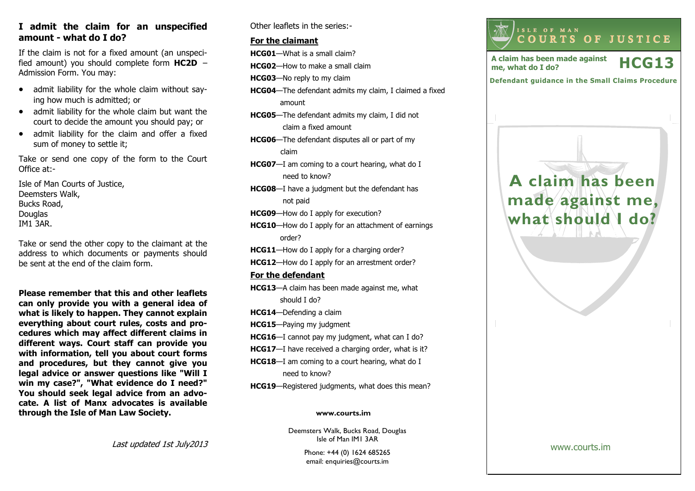# **I admit the claim for an unspecified amount - what do I do?**

If the claim is not for a fixed amount (an unspecified amount) you should complete form **HC2D** – Admission Form. You may:

- admit liability for the whole claim without saying how much is admitted; or
- admit liability for the whole claim but want the court to decide the amount you should pay; or
- admit liability for the claim and offer a fixed sum of money to settle it;

Take or send one copy of the form to the Court Office at:-

Isle of Man Courts of Justice, Deemsters Walk, Bucks Road, **Douglas** IM1 3AR.

Take or send the other copy to the claimant at the address to which documents or payments should be sent at the end of the claim form.

**Please remember that this and other leaflets can only provide you with a general idea of what is likely to happen. They cannot explain everything about court rules, costs and procedures which may affect different claims in different ways. Court staff can provide you with information, tell you about court forms and procedures, but they cannot give you legal advice or answer questions like "Will I win my case?", "What evidence do I need?" You should seek legal advice from an advocate. A list of Manx advocates is available through the Isle of Man Law Society.**

Other leaflets in the series:-

### **For the claimant**

**HCG01**—What is a small claim?

**HCG02**—How to make a small claim

**HCG03**—No reply to my claim

- **HCG04**—The defendant admits my claim, I claimed a fixed amount
- **HCG05**—The defendant admits my claim, I did not claim a fixed amount
- **HCG06**—The defendant disputes all or part of my claim
- **HCG07**—I am coming to a court hearing, what do I need to know?
- **HCG08**—I have a judgment but the defendant has not paid
- **HCG09**—How do I apply for execution?
- **HCG10**—How do I apply for an attachment of earnings order?
- **HCG11**—How do I apply for a charging order?
- **HCG12**—How do I apply for an arrestment order?

#### **For the defendant**

- **HCG13**—A claim has been made against me, what should I do?
- **HCG14**—Defending a claim
- **HCG15**—Paying my judgment
- **HCG16**—I cannot pay my judgment, what can I do?
- **HCG17**—I have received a charging order, what is it?
- **HCG18**—I am coming to a court hearing, what do I need to know?
- **HCG19**—Registered judgments, what does this mean?

#### **www.courts.im**

Deemsters Walk, Bucks Road, Douglas Isle of Man IM1 3AR

> Phone: +44 (0) 1624 685265 email: enquiries@courts.im



#### www.courts.im

Last updated 1st July2013